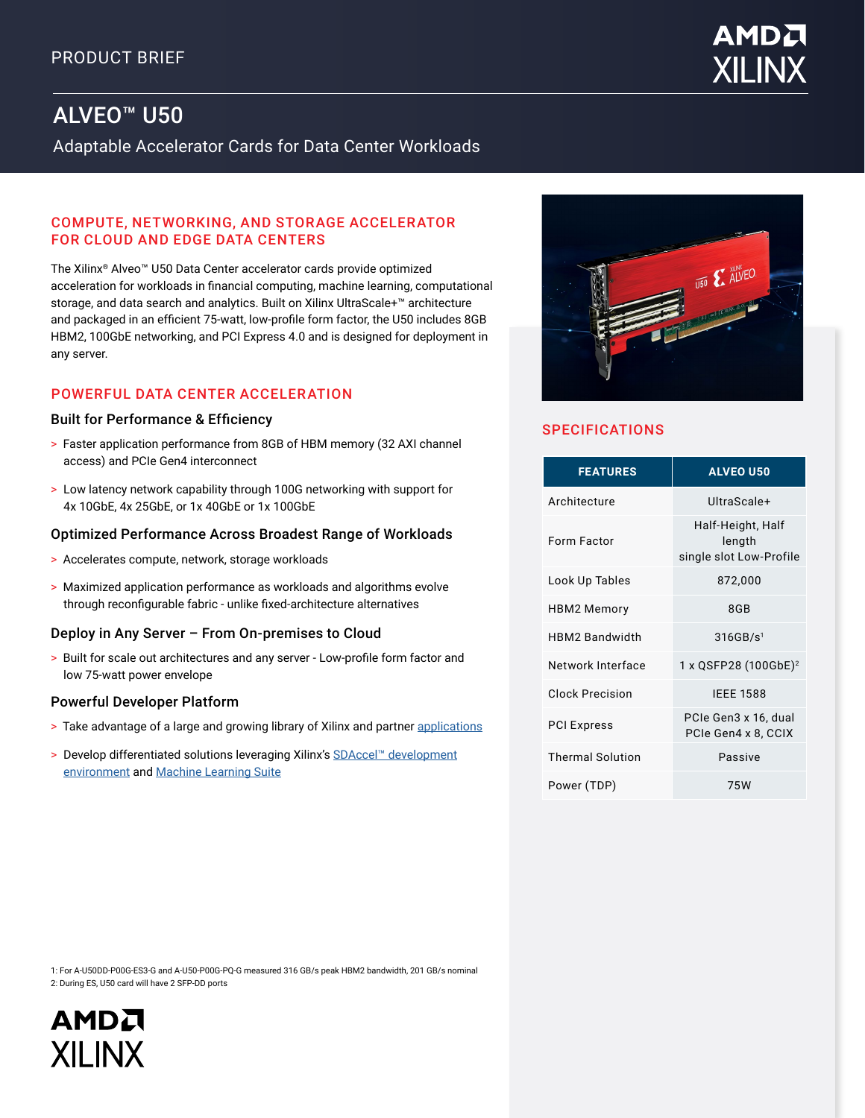# **AMDA** XILIN

# ALVEO™ U50

Adaptable Accelerator Cards for Data Center Workloads

#### COMPUTE, NETWORKING, AND STORAGE ACCELERATOR FOR CLOUD AND EDGE DATA CENTERS

The Xilinx® Alveo™ U50 Data Center accelerator cards provide optimized acceleration for workloads in financial computing, machine learning, computational storage, and data search and analytics. Built on Xilinx UltraScale+™ architecture and packaged in an efficient 75-watt, low-profile form factor, the U50 includes 8GB HBM2, 100GbE networking, and PCI Express 4.0 and is designed for deployment in any server.

## POWERFUL DATA CENTER ACCELERATION

#### Built for Performance & Efficiency

- > Faster application performance from 8GB of HBM memory (32 AXI channel access) and PCIe Gen4 interconnect
- > Low latency network capability through 100G networking with support for 4x 10GbE, 4x 25GbE, or 1x 40GbE or 1x 100GbE

#### Optimized Performance Across Broadest Range of Workloads

- > Accelerates compute, network, storage workloads
- > Maximized application performance as workloads and algorithms evolve through reconfigurable fabric - unlike fixed-architecture alternatives

#### Deploy in Any Server – From On-premises to Cloud

> Built for scale out architectures and any server - Low-profile form factor and low 75-watt power envelope

#### Powerful Developer Platform

- > Take advantage of a large and growing library of Xilinx and partner [applications](https://www.xilinx.com/content/xilinx/en/products/app-store/alveo/all-apps.html)
- > Develop differentiated solutions leveraging Xilinx's [SDAccel™ development](https://www.xilinx.com/products/design-tools/software-zone/sdaccel.html) [environment](https://www.xilinx.com/products/design-tools/software-zone/sdaccel.html) and [Machine Learning Suite](https://www.xilinx.com/applications/megatrends/machine-learning.html)



# **SPECIFICATIONS**

| <b>FEATURES</b>         | <b>ALVEO U50</b>                                       |
|-------------------------|--------------------------------------------------------|
| Architecture            | UltraScale+                                            |
| Form Factor             | Half-Height, Half<br>length<br>single slot Low-Profile |
| Look Up Tables          | 872,000                                                |
| HBM2 Memory             | 8GB                                                    |
| HBM2 Bandwidth          | 316GB/s <sup>1</sup>                                   |
| Network Interface       | 1 x QSFP28 (100GbE) <sup>2</sup>                       |
| <b>Clock Precision</b>  | <b>IEEE 1588</b>                                       |
| <b>PCI Express</b>      | PCIe Gen3 x 16, dual<br>PCIe Gen4 x 8, CCIX            |
| <b>Thermal Solution</b> | Passive                                                |
| Power (TDP)             | 75W                                                    |

1: For A-U50DD-P00G-ES3-G and A-U50-P00G-PQ-G measured 316 GB/s peak HBM2 bandwidth, 201 GB/s nominal 2: During ES, U50 card will have 2 SFP-DD ports